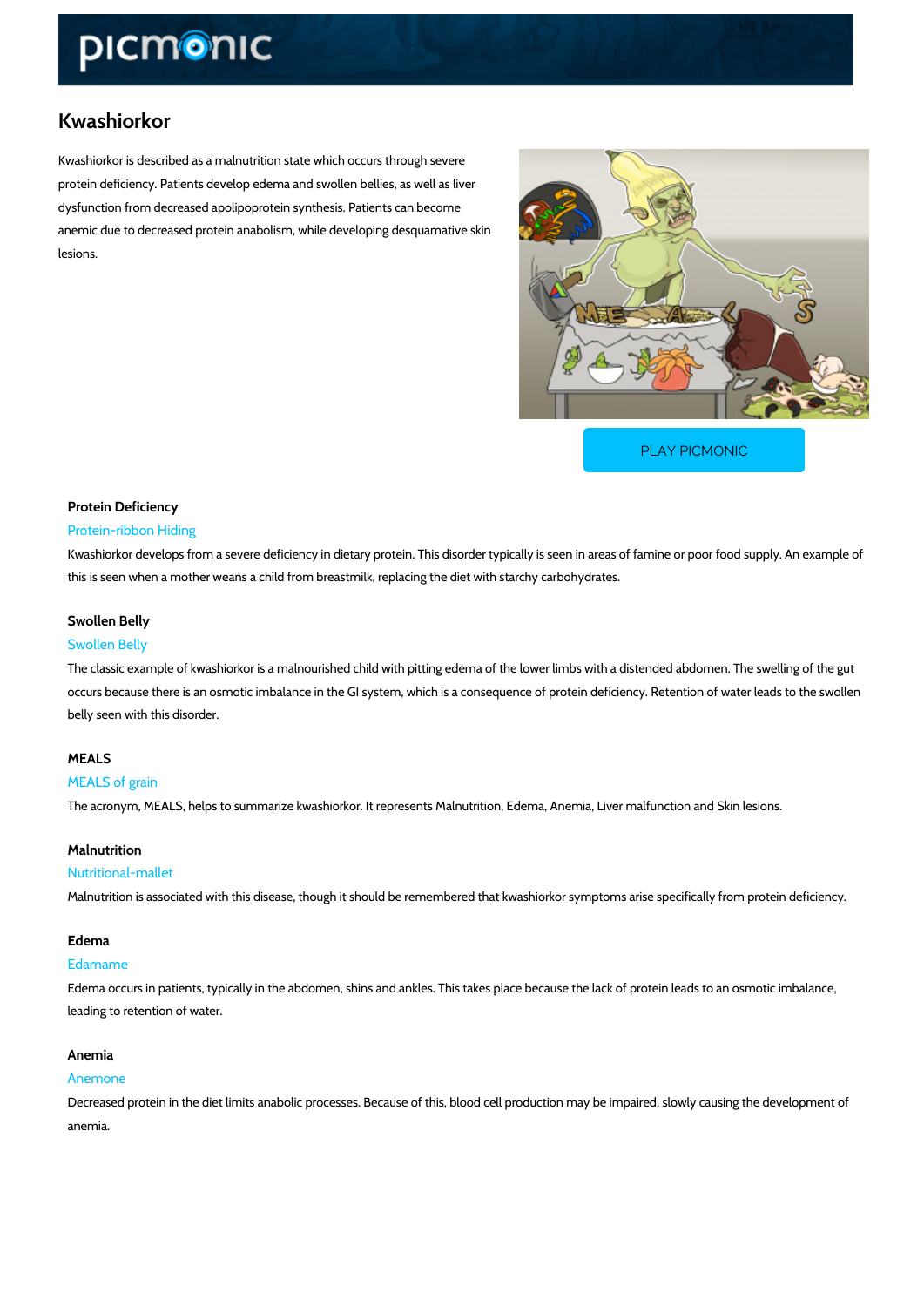# Kwashiorkor

Kwashiorkor is described as a malnutrition state which occurs through severe protein deficiency. Patients develop edema and swollen bellies, as well as liver dysfunction from decreased apolipoprotein synthesis. Patients can become anemic due to decreased protein anabolism, while developing desquamative skin lesions.

[PLAY PICMONIC](https://www.picmonic.com/learn/kwashiorkor_1698?utm_source=downloadable_content&utm_medium=distributedcontent&utm_campaign=pathways_pdf&utm_content=Kwashiorkor&utm_ad_group=leads&utm_market=all)

# Protein Deficiency

## Protein-ribbon Hiding

Kwashiorkor develops from a severe deficiency in dietary protein. This disorder typically is se this is seen when a mother weans a child from breastmilk, replacing the diet with starchy carb

# Swollen Belly

# Swollen Belly

The classic example of kwashiorkor is a malnourished child with pitting edema of the lower lir occurs because there is an osmotic imbalance in the GI system, which is a consequence of pro belly seen with this disorder.

### MEALS

### MEALS of grain

The acronym, MEALS, helps to summarize kwashiorkor. It represents Malnutrition, Edema, Ane

### Malnutrition

#### Nutritional-mallet

Malnutrition is associated with this disease, though it should be remembered that kwashiorkor

# Edema

# Edamame

Edema occurs in patients, typically in the abdomen, shins and ankles. This takes place becau leading to retention of water.

# Anemia

# Anemone

Decreased protein in the diet limits anabolic processes. Because of this, blood cell productio anemia.